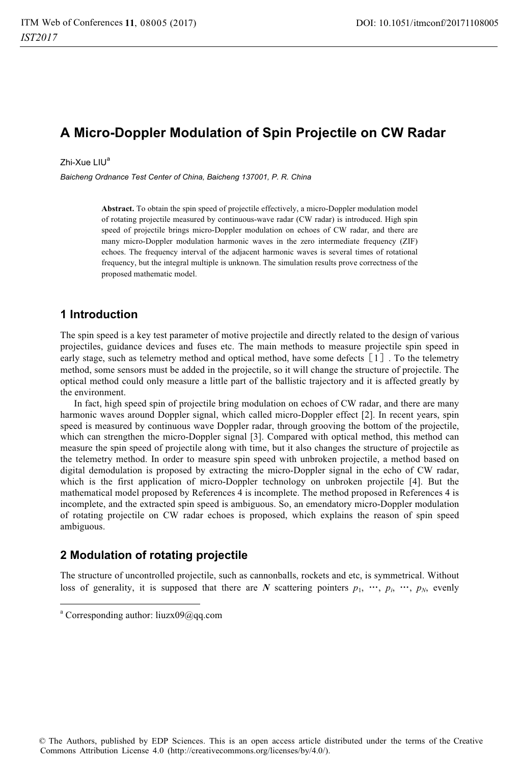# **A Micro-Doppler Modulation of Spin Projectile on CW Radar**

Zhi-Xue LIU<sup>a</sup>

*Baicheng Ordnance Test Center of China, Baicheng 137001, P. R. China* 

**Abstract.** To obtain the spin speed of projectile effectively, a micro-Doppler modulation model of rotating projectile measured by continuous-wave radar (CW radar) is introduced. High spin speed of projectile brings micro-Doppler modulation on echoes of CW radar, and there are many micro-Doppler modulation harmonic waves in the zero intermediate frequency (ZIF) echoes. The frequency interval of the adjacent harmonic waves is several times of rotational frequency, but the integral multiple is unknown. The simulation results prove correctness of the proposed mathematic model.

### **1 Introduction**

The spin speed is a key test parameter of motive projectile and directly related to the design of various projectiles, guidance devices and fuses etc. The main methods to measure projectile spin speed in early stage, such as telemetry method and optical method, have some defects [1]. To the telemetry method, some sensors must be added in the projectile, so it will change the structure of projectile. The optical method could only measure a little part of the ballistic trajectory and it is affected greatly by the environment.

In fact, high speed spin of projectile bring modulation on echoes of CW radar, and there are many harmonic waves around Doppler signal, which called micro-Doppler effect [2]. In recent years, spin speed is measured by continuous wave Doppler radar, through grooving the bottom of the projectile, which can strengthen the micro-Doppler signal [3]. Compared with optical method, this method can measure the spin speed of projectile along with time, but it also changes the structure of projectile as the telemetry method. In order to measure spin speed with unbroken projectile, a method based on digital demodulation is proposed by extracting the micro-Doppler signal in the echo of CW radar, which is the first application of micro-Doppler technology on unbroken projectile [4]. But the mathematical model proposed by References 4 is incomplete. The method proposed in References 4 is incomplete, and the extracted spin speed is ambiguous. So, an emendatory micro-Doppler modulation of rotating projectile on CW radar echoes is proposed, which explains the reason of spin speed ambiguous.

### **2 Modulation of rotating projectile**

The structure of uncontrolled projectile, such as cannonballs, rockets and etc, is symmetrical. Without loss of generality, it is supposed that there are *N* scattering pointers  $p_1$ ,  $\cdots$ ,  $p_i$ ,  $\cdots$ ,  $p_N$ , evenly

1

<sup>&</sup>lt;sup>a</sup> Corresponding author: liuzx09@qq.com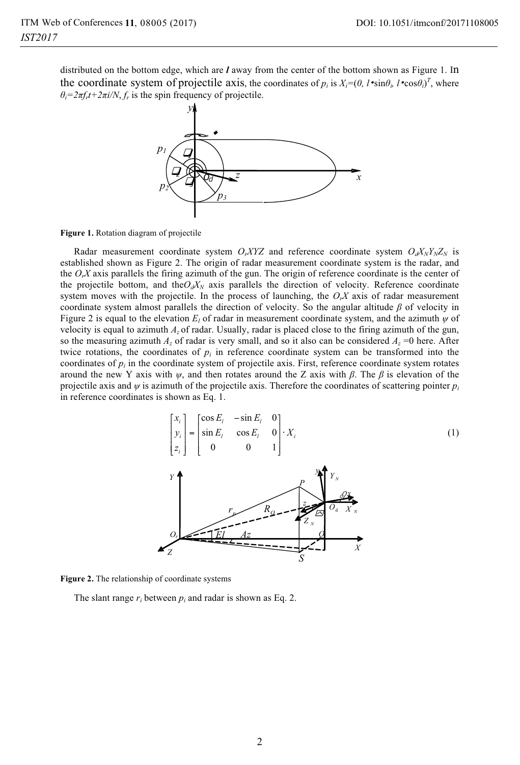distributed on the bottom edge, which are *l* away from the center of the bottom shown as Figure 1. In the coordinate system of projectile axis, the coordinates of  $p_i$  is  $X_i=(0, l \cdot \sin\theta_i, l \cdot \cos\theta_i)^T$ , where  $\theta_i = 2\pi f_i t + 2\pi i/N$ ,  $f_r$  is the spin frequency of projectile.



**Figure 1.** Rotation diagram of projectile

Radar measurement coordinate system *O<sub>rXYZ</sub>* and reference coordinate system  $O_dX_NY_NZ_N$  is established shown as Figure 2. The origin of radar measurement coordinate system is the radar, and the *OrX* axis parallels the firing azimuth of the gun. The origin of reference coordinate is the center of the projectile bottom, and the $O_dX_N$  axis parallels the direction of velocity. Reference coordinate system moves with the projectile. In the process of launching, the  $O<sub>r</sub>X$  axis of radar measurement coordinate system almost parallels the direction of velocity. So the angular altitude *β* of velocity in Figure 2 is equal to the elevation  $E_l$  of radar in measurement coordinate system, and the azimuth  $\psi$  of velocity is equal to azimuth *Az* of radar. Usually, radar is placed close to the firing azimuth of the gun, so the measuring azimuth  $A_z$  of radar is very small, and so it also can be considered  $A_z = 0$  here. After twice rotations, the coordinates of  $p_i$  in reference coordinate system can be transformed into the coordinates of *pi* in the coordinate system of projectile axis. First, reference coordinate system rotates around the new Y axis with *ψ*, and then rotates around the Z axis with *β*. The *β* is elevation of the projectile axis and  $\psi$  is azimuth of the projectile axis. Therefore the coordinates of scattering pointer  $p_i$ in reference coordinates is shown as Eq. 1.



**Figure 2.** The relationship of coordinate systems

The slant range  $r_i$  between  $p_i$  and radar is shown as Eq. 2.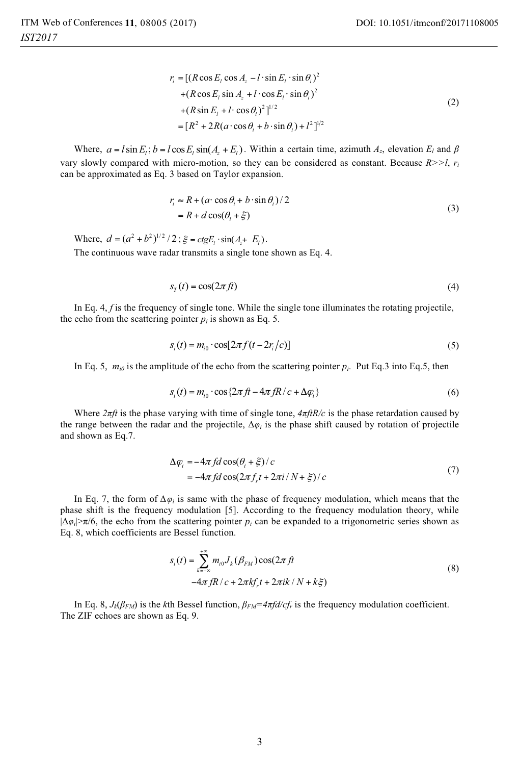$$
r_i = [(R \cos E_1 \cos A_z - l \cdot \sin E_1 \cdot \sin \theta_i)^2 + (R \cos E_1 \sin A_z + l \cdot \cos E_1 \cdot \sin \theta_i)^2 + (R \sin E_1 + l \cdot \cos \theta_i)^2]^{1/2}
$$
  
=  $[R^2 + 2R(a \cdot \cos \theta_i + b \cdot \sin \theta_i) + l^2]^{1/2}$  (2)

Where,  $a = l \sin E_i$ ;  $b = l \cos E_i \sin(A_i + E_i)$ . Within a certain time, azimuth  $A_z$ , elevation  $E_l$  and  $\beta$ vary slowly compared with micro-motion, so they can be considered as constant. Because *R>>l*, *ri* can be approximated as Eq. 3 based on Taylor expansion.

$$
r_i \approx R + (a \cdot \cos \theta_i + b \cdot \sin \theta_i)/2
$$
  
=  $R + d \cos(\theta_i + \xi)$  (3)

Where,  $d = (a^2 + b^2)^{1/2} / 2$ ;  $\xi = ctgE_r \cdot \sin(A_r + E_r)$ . The continuous wave radar transmits a single tone shown as Eq. 4.

$$
s_T(t) = \cos(2\pi ft) \tag{4}
$$

In Eq. 4, *f* is the frequency of single tone. While the single tone illuminates the rotating projectile, the echo from the scattering pointer  $p_i$  is shown as Eq. 5.

$$
s_i(t) = m_{i0} \cdot \cos[2\pi f(t - 2r_i/c)] \tag{5}
$$

In Eq. 5,  $m_{i0}$  is the amplitude of the echo from the scattering pointer  $p_i$ . Put Eq.3 into Eq.5, then

$$
s_i(t) = m_{i0} \cdot \cos\{2\pi ft - 4\pi fR/c + \Delta\varphi_i\} \tag{6}
$$

Where  $2\pi ft$  is the phase varying with time of single tone,  $4\pi f/R/c$  is the phase retardation caused by the range between the radar and the projectile, Δ*φi* is the phase shift caused by rotation of projectile and shown as Eq.7.

$$
\Delta \varphi_i = -4\pi f d \cos(\theta_i + \xi) / c
$$
  
=  $-4\pi f d \cos(2\pi f_i t + 2\pi i / N + \xi) / c$  (7)

In Eq. 7, the form of  $\Delta \varphi_i$  is same with the phase of frequency modulation, which means that the phase shift is the frequency modulation [5]. According to the frequency modulation theory, while  $|\Delta\varphi_i|\geq \pi/6$ , the echo from the scattering pointer  $p_i$  can be expanded to a trigonometric series shown as Eq. 8, which coefficients are Bessel function.

$$
s_i(t) = \sum_{k=-\infty}^{+\infty} m_{i0} J_k(\beta_{FM}) \cos(2\pi ft)
$$
  
-4\pi fR/c + 2\pi kf\_i t + 2\pi ik / N + k\xi (8)

In Eq. 8,  $J_k(\beta_{FM})$  is the *k*th Bessel function,  $\beta_{FM} = 4\pi f d/cf_r$  is the frequency modulation coefficient. The ZIF echoes are shown as Eq. 9.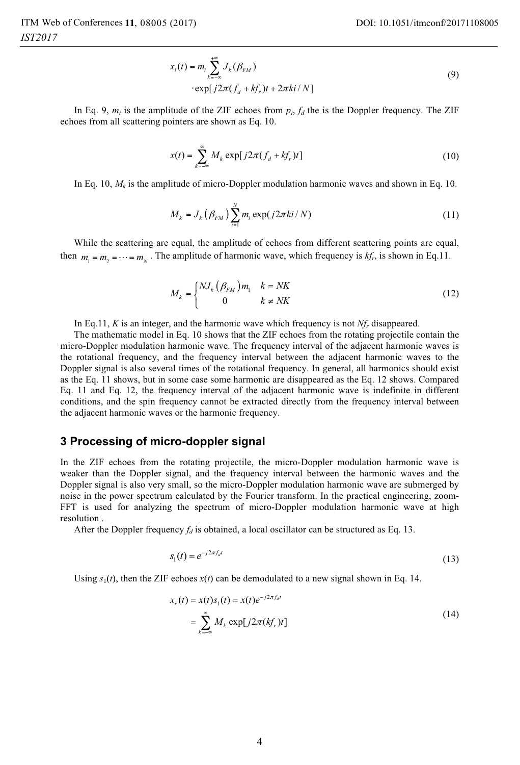$$
x_i(t) = m_i \sum_{k=-\infty}^{+\infty} J_k(\beta_{FM})
$$
  
\n
$$
\cdot \exp[j2\pi(f_d + kf_r)t + 2\pi ki/N]
$$
\n(9)

In Eq. 9,  $m_i$  is the amplitude of the ZIF echoes from  $p_i$ ,  $f_d$  the is the Doppler frequency. The ZIF echoes from all scattering pointers are shown as Eq. 10.

$$
x(t) = \sum_{k=-\infty}^{\infty} M_k \exp[j2\pi (f_d + kf_r)t]
$$
 (10)

In Eq. 10,  $M_k$  is the amplitude of micro-Doppler modulation harmonic waves and shown in Eq. 10.

$$
M_{k} = J_{k} \left( \beta_{FM} \right) \sum_{i=1}^{N} m_{i} \exp(j2\pi ki/N) \tag{11}
$$

While the scattering are equal, the amplitude of echoes from different scattering points are equal, then  $m_1 = m_2 = \cdots = m_N$ . The amplitude of harmonic wave, which frequency is  $kf_r$ , is shown in Eq.11.

$$
M_k = \begin{cases} N J_k \left( \beta_{FM} \right) m_1 & k = NK \\ 0 & k \neq NK \end{cases} \tag{12}
$$

In Eq.11, *K* is an integer, and the harmonic wave which frequency is not *Nfr* disappeared.

The mathematic model in Eq. 10 shows that the ZIF echoes from the rotating projectile contain the micro-Doppler modulation harmonic wave. The frequency interval of the adjacent harmonic waves is the rotational frequency, and the frequency interval between the adjacent harmonic waves to the Doppler signal is also several times of the rotational frequency. In general, all harmonics should exist as the Eq. 11 shows, but in some case some harmonic are disappeared as the Eq. 12 shows. Compared Eq. 11 and Eq. 12, the frequency interval of the adjacent harmonic wave is indefinite in different conditions, and the spin frequency cannot be extracted directly from the frequency interval between the adjacent harmonic waves or the harmonic frequency.

#### **3 Processing of micro-doppler signal**

In the ZIF echoes from the rotating projectile, the micro-Doppler modulation harmonic wave is weaker than the Doppler signal, and the frequency interval between the harmonic waves and the Doppler signal is also very small, so the micro-Doppler modulation harmonic wave are submerged by noise in the power spectrum calculated by the Fourier transform. In the practical engineering, zoom-FFT is used for analyzing the spectrum of micro-Doppler modulation harmonic wave at high resolution .

After the Doppler frequency  $f_d$  is obtained, a local oscillator can be structured as Eq. 13.

$$
s_1(t) = e^{-j2\pi f_d t} \tag{13}
$$

Using  $s_1(t)$ , then the ZIF echoes  $x(t)$  can be demodulated to a new signal shown in Eq. 14.

$$
x_r(t) = x(t)s_1(t) = x(t)e^{-j2\pi f_d t}
$$
  
= 
$$
\sum_{k=-\infty}^{\infty} M_k \exp[j2\pi (kf_r)t]
$$
 (14)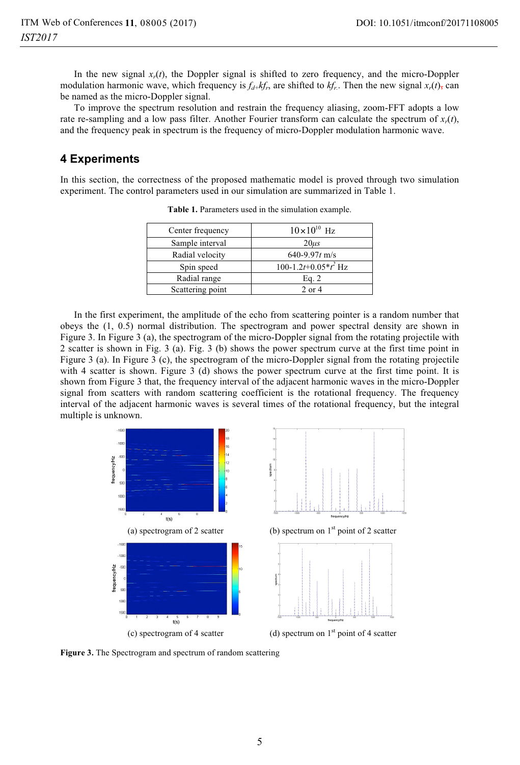In the new signal  $x_r(t)$ , the Doppler signal is shifted to zero frequency, and the micro-Doppler modulation harmonic wave, which frequency is  $f_{d+}kf_r$ , are shifted to  $kf_r$ . Then the new signal  $x_r(t)$ , can be named as the micro-Doppler signal.

To improve the spectrum resolution and restrain the frequency aliasing, zoom-FFT adopts a low rate re-sampling and a low pass filter. Another Fourier transform can calculate the spectrum of  $x_r(t)$ , and the frequency peak in spectrum is the frequency of micro-Doppler modulation harmonic wave.

## **4 Experiments**

In this section, the correctness of the proposed mathematic model is proved through two simulation experiment. The control parameters used in our simulation are summarized in Table 1.

| Center frequency | $10\times10^{10}$ Hz                |
|------------------|-------------------------------------|
| Sample interval  | $20\mu s$                           |
| Radial velocity  | 640-9.97 $t$ m/s                    |
| Spin speed       | 100-1.2t+0.05 $*$ t <sup>2</sup> Hz |
| Radial range     | Eq. 2                               |
| Scattering point | $2$ or $4$                          |

**Table 1.** Parameters used in the simulation example.

In the first experiment, the amplitude of the echo from scattering pointer is a random number that obeys the (1, 0.5) normal distribution. The spectrogram and power spectral density are shown in Figure 3. In Figure 3 (a), the spectrogram of the micro-Doppler signal from the rotating projectile with 2 scatter is shown in Fig. 3 (a). Fig. 3 (b) shows the power spectrum curve at the first time point in Figure 3 (a). In Figure 3 (c), the spectrogram of the micro-Doppler signal from the rotating projectile with 4 scatter is shown. Figure 3 (d) shows the power spectrum curve at the first time point. It is shown from Figure 3 that, the frequency interval of the adjacent harmonic waves in the micro-Doppler signal from scatters with random scattering coefficient is the rotational frequency. The frequency interval of the adjacent harmonic waves is several times of the rotational frequency, but the integral multiple is unknown.



**Figure 3.** The Spectrogram and spectrum of random scattering